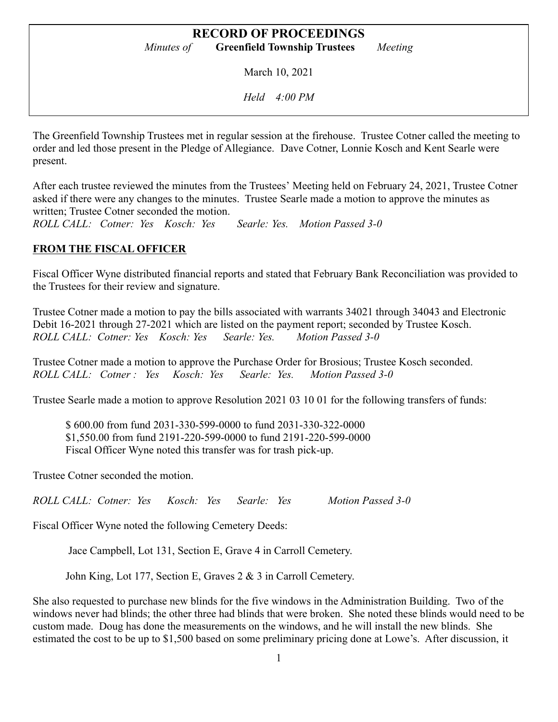March 10, 2021

*Held 4:00 PM*

The Greenfield Township Trustees met in regular session at the firehouse. Trustee Cotner called the meeting to order and led those present in the Pledge of Allegiance. Dave Cotner, Lonnie Kosch and Kent Searle were present.

After each trustee reviewed the minutes from the Trustees' Meeting held on February 24, 2021, Trustee Cotner asked if there were any changes to the minutes. Trustee Searle made a motion to approve the minutes as written; Trustee Cotner seconded the motion.

*ROLL CALL: Cotner: Yes Kosch: Yes Searle: Yes. Motion Passed 3-0*

# **FROM THE FISCAL OFFICER**

Fiscal Officer Wyne distributed financial reports and stated that February Bank Reconciliation was provided to the Trustees for their review and signature.

Trustee Cotner made a motion to pay the bills associated with warrants 34021 through 34043 and Electronic Debit 16-2021 through 27-2021 which are listed on the payment report; seconded by Trustee Kosch. *ROLL CALL: Cotner: Yes Kosch: Yes Searle: Yes. Motion Passed 3-0*

Trustee Cotner made a motion to approve the Purchase Order for Brosious; Trustee Kosch seconded. *ROLL CALL: Cotner : Yes Kosch: Yes Searle: Yes. Motion Passed 3-0*

Trustee Searle made a motion to approve Resolution 2021 03 10 01 for the following transfers of funds:

\$ 600.00 from fund 2031-330-599-0000 to fund 2031-330-322-0000 \$1,550.00 from fund 2191-220-599-0000 to fund 2191-220-599-0000 Fiscal Officer Wyne noted this transfer was for trash pick-up.

Trustee Cotner seconded the motion.

*ROLL CALL: Cotner: Yes Kosch: Yes Searle: Yes Motion Passed 3-0*

Fiscal Officer Wyne noted the following Cemetery Deeds:

Jace Campbell, Lot 131, Section E, Grave 4 in Carroll Cemetery.

John King, Lot 177, Section E, Graves 2 & 3 in Carroll Cemetery.

She also requested to purchase new blinds for the five windows in the Administration Building. Two of the windows never had blinds; the other three had blinds that were broken. She noted these blinds would need to be custom made. Doug has done the measurements on the windows, and he will install the new blinds. She estimated the cost to be up to \$1,500 based on some preliminary pricing done at Lowe's. After discussion, it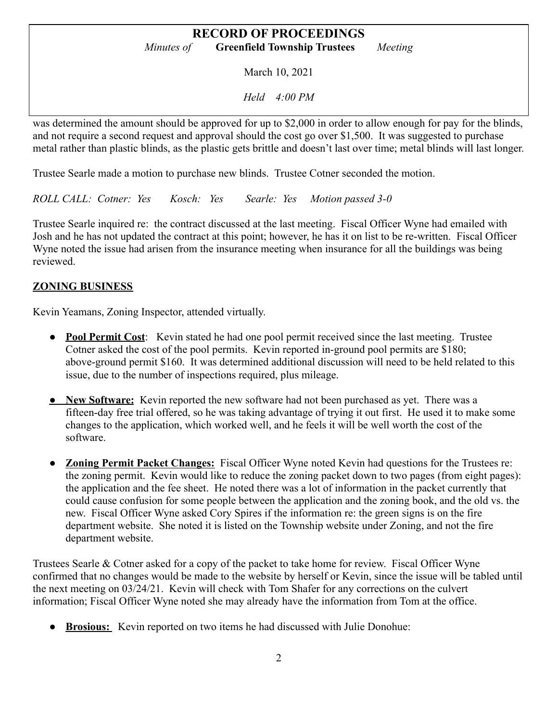March 10, 2021

*Held 4:00 PM*

was determined the amount should be approved for up to \$2,000 in order to allow enough for pay for the blinds, and not require a second request and approval should the cost go over \$1,500. It was suggested to purchase metal rather than plastic blinds, as the plastic gets brittle and doesn't last over time; metal blinds will last longer.

Trustee Searle made a motion to purchase new blinds. Trustee Cotner seconded the motion.

*ROLL CALL: Cotner: Yes Kosch: Yes Searle: Yes Motion passed 3-0*

Trustee Searle inquired re: the contract discussed at the last meeting. Fiscal Officer Wyne had emailed with Josh and he has not updated the contract at this point; however, he has it on list to be re-written. Fiscal Officer Wyne noted the issue had arisen from the insurance meeting when insurance for all the buildings was being reviewed.

# **ZONING BUSINESS**

Kevin Yeamans, Zoning Inspector, attended virtually.

- **Pool Permit Cost**: Kevin stated he had one pool permit received since the last meeting. Trustee Cotner asked the cost of the pool permits. Kevin reported in-ground pool permits are \$180; above-ground permit \$160. It was determined additional discussion will need to be held related to this issue, due to the number of inspections required, plus mileage.
- **New Software:** Kevin reported the new software had not been purchased as yet. There was a fifteen-day free trial offered, so he was taking advantage of trying it out first. He used it to make some changes to the application, which worked well, and he feels it will be well worth the cost of the software.
- **Zoning Permit Packet Changes:** Fiscal Officer Wyne noted Kevin had questions for the Trustees re: the zoning permit. Kevin would like to reduce the zoning packet down to two pages (from eight pages): the application and the fee sheet. He noted there was a lot of information in the packet currently that could cause confusion for some people between the application and the zoning book, and the old vs. the new. Fiscal Officer Wyne asked Cory Spires if the information re: the green signs is on the fire department website. She noted it is listed on the Township website under Zoning, and not the fire department website.

Trustees Searle & Cotner asked for a copy of the packet to take home for review. Fiscal Officer Wyne confirmed that no changes would be made to the website by herself or Kevin, since the issue will be tabled until the next meeting on 03/24/21. Kevin will check with Tom Shafer for any corrections on the culvert information; Fiscal Officer Wyne noted she may already have the information from Tom at the office.

● **Brosious:** Kevin reported on two items he had discussed with Julie Donohue: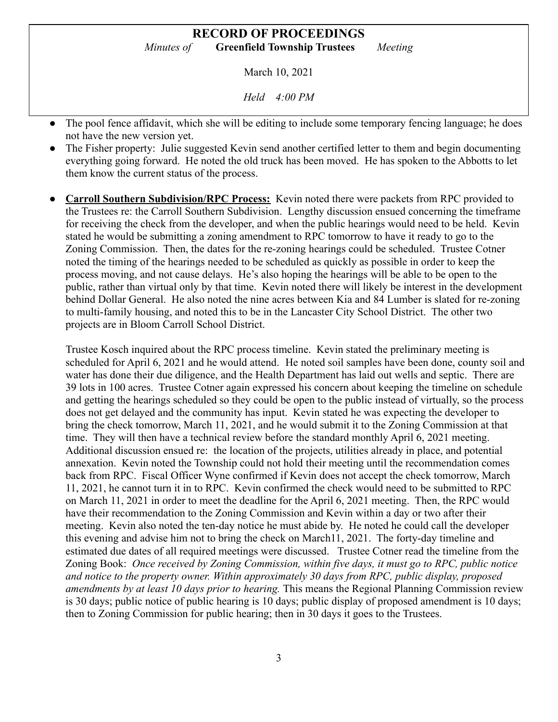March 10, 2021

*Held 4:00 PM*

- The pool fence affidavit, which she will be editing to include some temporary fencing language: he does not have the new version yet.
- The Fisher property: Julie suggested Kevin send another certified letter to them and begin documenting everything going forward. He noted the old truck has been moved. He has spoken to the Abbotts to let them know the current status of the process.
- **Carroll Southern Subdivision/RPC Process:** Kevin noted there were packets from RPC provided to the Trustees re: the Carroll Southern Subdivision. Lengthy discussion ensued concerning the timeframe for receiving the check from the developer, and when the public hearings would need to be held. Kevin stated he would be submitting a zoning amendment to RPC tomorrow to have it ready to go to the Zoning Commission. Then, the dates for the re-zoning hearings could be scheduled. Trustee Cotner noted the timing of the hearings needed to be scheduled as quickly as possible in order to keep the process moving, and not cause delays. He's also hoping the hearings will be able to be open to the public, rather than virtual only by that time. Kevin noted there will likely be interest in the development behind Dollar General. He also noted the nine acres between Kia and 84 Lumber is slated for re-zoning to multi-family housing, and noted this to be in the Lancaster City School District. The other two projects are in Bloom Carroll School District.

Trustee Kosch inquired about the RPC process timeline. Kevin stated the preliminary meeting is scheduled for April 6, 2021 and he would attend. He noted soil samples have been done, county soil and water has done their due diligence, and the Health Department has laid out wells and septic. There are 39 lots in 100 acres. Trustee Cotner again expressed his concern about keeping the timeline on schedule and getting the hearings scheduled so they could be open to the public instead of virtually, so the process does not get delayed and the community has input. Kevin stated he was expecting the developer to bring the check tomorrow, March 11, 2021, and he would submit it to the Zoning Commission at that time. They will then have a technical review before the standard monthly April 6, 2021 meeting. Additional discussion ensued re: the location of the projects, utilities already in place, and potential annexation. Kevin noted the Township could not hold their meeting until the recommendation comes back from RPC. Fiscal Officer Wyne confirmed if Kevin does not accept the check tomorrow, March 11, 2021, he cannot turn it in to RPC. Kevin confirmed the check would need to be submitted to RPC on March 11, 2021 in order to meet the deadline for the April 6, 2021 meeting. Then, the RPC would have their recommendation to the Zoning Commission and Kevin within a day or two after their meeting. Kevin also noted the ten-day notice he must abide by. He noted he could call the developer this evening and advise him not to bring the check on March11, 2021. The forty-day timeline and estimated due dates of all required meetings were discussed. Trustee Cotner read the timeline from the Zoning Book: *Once received by Zoning Commission, within five days, it must go to RPC, public notice and notice to the property owner. Within approximately 30 days from RPC, public display, proposed amendments by at least 10 days prior to hearing.* This means the Regional Planning Commission review is 30 days; public notice of public hearing is 10 days; public display of proposed amendment is 10 days; then to Zoning Commission for public hearing; then in 30 days it goes to the Trustees.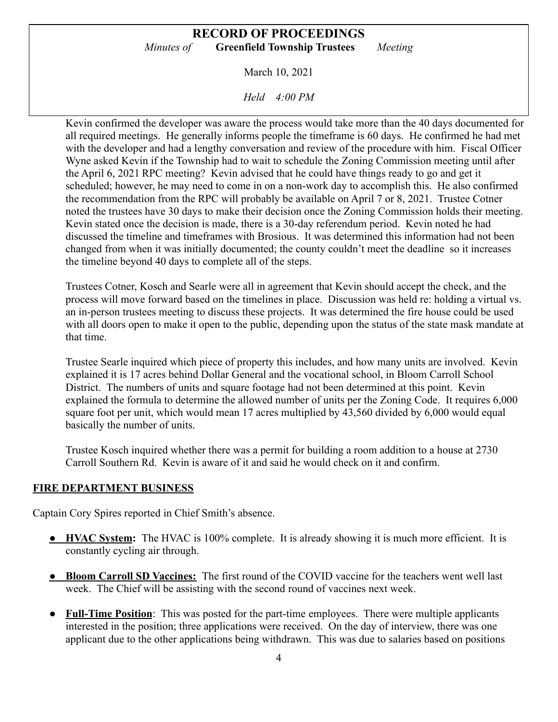March 10, 2021

*Held 4:00 PM*

Kevin confirmed the developer was aware the process would take more than the 40 days documented for all required meetings. He generally informs people the timeframe is 60 days. He confirmed he had met with the developer and had a lengthy conversation and review of the procedure with him. Fiscal Officer Wyne asked Kevin if the Township had to wait to schedule the Zoning Commission meeting until after the April 6, 2021 RPC meeting? Kevin advised that he could have things ready to go and get it scheduled; however, he may need to come in on a non-work day to accomplish this. He also confirmed the recommendation from the RPC will probably be available on April 7 or 8, 2021. Trustee Cotner noted the trustees have 30 days to make their decision once the Zoning Commission holds their meeting. Kevin stated once the decision is made, there is a 30-day referendum period. Kevin noted he had discussed the timeline and timeframes with Brosious. It was determined this information had not been changed from when it was initially documented; the county couldn't meet the deadline so it increases the timeline beyond 40 days to complete all of the steps.

Trustees Cotner, Kosch and Searle were all in agreement that Kevin should accept the check, and the process will move forward based on the timelines in place. Discussion was held re: holding a virtual vs. an in-person trustees meeting to discuss these projects. It was determined the fire house could be used with all doors open to make it open to the public, depending upon the status of the state mask mandate at that time.

Trustee Searle inquired which piece of property this includes, and how many units are involved. Kevin explained it is 17 acres behind Dollar General and the vocational school, in Bloom Carroll School District. The numbers of units and square footage had not been determined at this point. Kevin explained the formula to determine the allowed number of units per the Zoning Code. It requires 6,000 square foot per unit, which would mean 17 acres multiplied by 43,560 divided by 6,000 would equal basically the number of units.

Trustee Kosch inquired whether there was a permit for building a room addition to a house at 2730 Carroll Southern Rd. Kevin is aware of it and said he would check on it and confirm.

#### **FIRE DEPARTMENT BUSINESS**

Captain Cory Spires reported in Chief Smith's absence.

- **HVAC System:** The HVAC is 100% complete. It is already showing it is much more efficient. It is constantly cycling air through.
- **Bloom Carroll SD Vaccines:** The first round of the COVID vaccine for the teachers went well last week. The Chief will be assisting with the second round of vaccines next week.
- **Full-Time Position**: This was posted for the part-time employees. There were multiple applicants interested in the position; three applications were received. On the day of interview, there was one applicant due to the other applications being withdrawn. This was due to salaries based on positions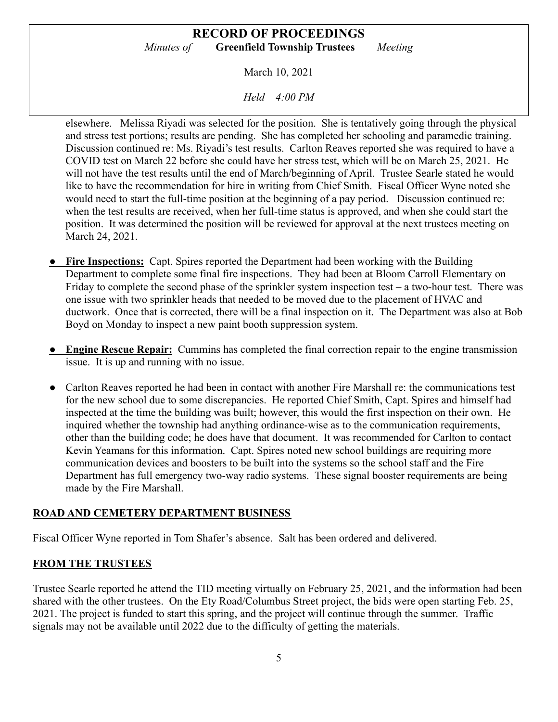March 10, 2021

*Held 4:00 PM*

elsewhere. Melissa Riyadi was selected for the position. She is tentatively going through the physical and stress test portions; results are pending. She has completed her schooling and paramedic training. Discussion continued re: Ms. Riyadi's test results. Carlton Reaves reported she was required to have a COVID test on March 22 before she could have her stress test, which will be on March 25, 2021. He will not have the test results until the end of March/beginning of April. Trustee Searle stated he would like to have the recommendation for hire in writing from Chief Smith. Fiscal Officer Wyne noted she would need to start the full-time position at the beginning of a pay period. Discussion continued re: when the test results are received, when her full-time status is approved, and when she could start the position. It was determined the position will be reviewed for approval at the next trustees meeting on March 24, 2021.

- **Fire Inspections:** Capt. Spires reported the Department had been working with the Building Department to complete some final fire inspections. They had been at Bloom Carroll Elementary on Friday to complete the second phase of the sprinkler system inspection test – a two-hour test. There was one issue with two sprinkler heads that needed to be moved due to the placement of HVAC and ductwork. Once that is corrected, there will be a final inspection on it. The Department was also at Bob Boyd on Monday to inspect a new paint booth suppression system.
- **Engine Rescue Repair:** Cummins has completed the final correction repair to the engine transmission issue. It is up and running with no issue.
- Carlton Reaves reported he had been in contact with another Fire Marshall re: the communications test for the new school due to some discrepancies. He reported Chief Smith, Capt. Spires and himself had inspected at the time the building was built; however, this would the first inspection on their own. He inquired whether the township had anything ordinance-wise as to the communication requirements, other than the building code; he does have that document. It was recommended for Carlton to contact Kevin Yeamans for this information. Capt. Spires noted new school buildings are requiring more communication devices and boosters to be built into the systems so the school staff and the Fire Department has full emergency two-way radio systems. These signal booster requirements are being made by the Fire Marshall.

## **ROAD AND CEMETERY DEPARTMENT BUSINESS**

Fiscal Officer Wyne reported in Tom Shafer's absence. Salt has been ordered and delivered.

## **FROM THE TRUSTEES**

Trustee Searle reported he attend the TID meeting virtually on February 25, 2021, and the information had been shared with the other trustees. On the Ety Road/Columbus Street project, the bids were open starting Feb. 25, 2021. The project is funded to start this spring, and the project will continue through the summer. Traffic signals may not be available until 2022 due to the difficulty of getting the materials.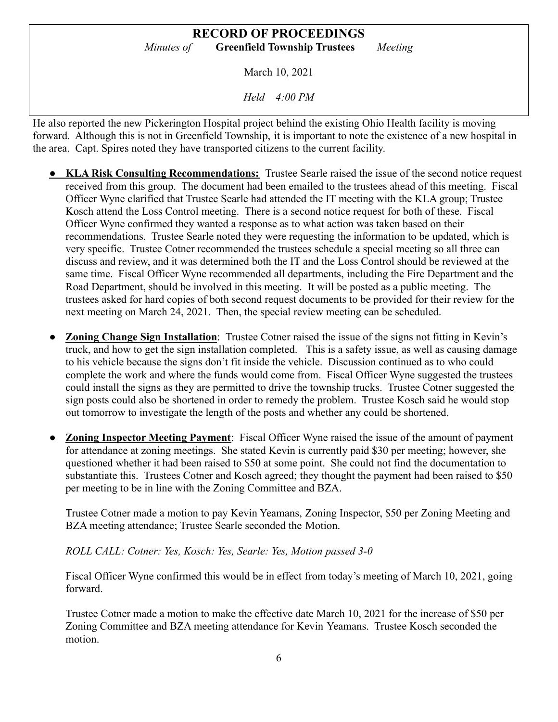March 10, 2021

*Held 4:00 PM*

He also reported the new Pickerington Hospital project behind the existing Ohio Health facility is moving forward. Although this is not in Greenfield Township, it is important to note the existence of a new hospital in the area. Capt. Spires noted they have transported citizens to the current facility.

- **KLA Risk Consulting Recommendations:** Trustee Searle raised the issue of the second notice request received from this group. The document had been emailed to the trustees ahead of this meeting. Fiscal Officer Wyne clarified that Trustee Searle had attended the IT meeting with the KLA group; Trustee Kosch attend the Loss Control meeting. There is a second notice request for both of these. Fiscal Officer Wyne confirmed they wanted a response as to what action was taken based on their recommendations. Trustee Searle noted they were requesting the information to be updated, which is very specific. Trustee Cotner recommended the trustees schedule a special meeting so all three can discuss and review, and it was determined both the IT and the Loss Control should be reviewed at the same time. Fiscal Officer Wyne recommended all departments, including the Fire Department and the Road Department, should be involved in this meeting. It will be posted as a public meeting. The trustees asked for hard copies of both second request documents to be provided for their review for the next meeting on March 24, 2021. Then, the special review meeting can be scheduled.
- **Zoning Change Sign Installation**: Trustee Cotner raised the issue of the signs not fitting in Kevin's truck, and how to get the sign installation completed. This is a safety issue, as well as causing damage to his vehicle because the signs don't fit inside the vehicle. Discussion continued as to who could complete the work and where the funds would come from. Fiscal Officer Wyne suggested the trustees could install the signs as they are permitted to drive the township trucks. Trustee Cotner suggested the sign posts could also be shortened in order to remedy the problem. Trustee Kosch said he would stop out tomorrow to investigate the length of the posts and whether any could be shortened.
- **Zoning Inspector Meeting Payment**: Fiscal Officer Wyne raised the issue of the amount of payment for attendance at zoning meetings. She stated Kevin is currently paid \$30 per meeting; however, she questioned whether it had been raised to \$50 at some point. She could not find the documentation to substantiate this. Trustees Cotner and Kosch agreed; they thought the payment had been raised to \$50 per meeting to be in line with the Zoning Committee and BZA.

Trustee Cotner made a motion to pay Kevin Yeamans, Zoning Inspector, \$50 per Zoning Meeting and BZA meeting attendance; Trustee Searle seconded the Motion.

*ROLL CALL: Cotner: Yes, Kosch: Yes, Searle: Yes, Motion passed 3-0*

Fiscal Officer Wyne confirmed this would be in effect from today's meeting of March 10, 2021, going forward.

Trustee Cotner made a motion to make the effective date March 10, 2021 for the increase of \$50 per Zoning Committee and BZA meeting attendance for Kevin Yeamans. Trustee Kosch seconded the motion.